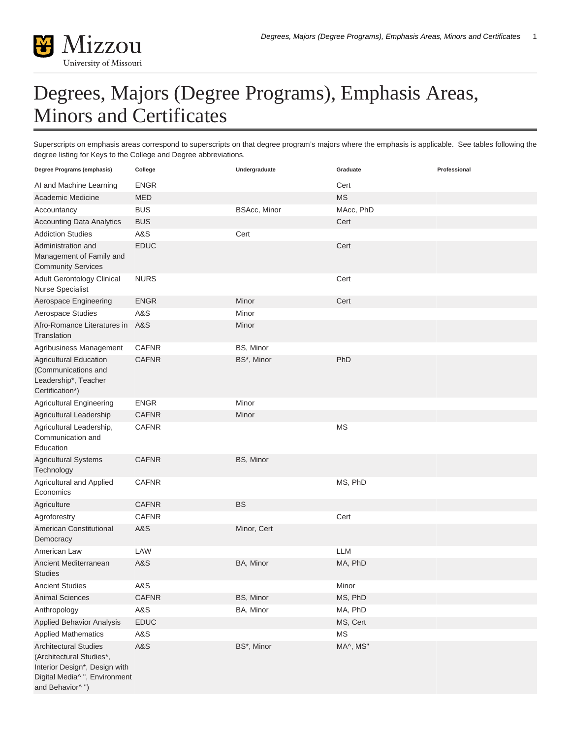

## Degrees, Majors (Degree Programs), Emphasis Areas, Minors and Certificates

Superscripts on emphasis areas correspond to superscripts on that degree program's majors where the emphasis is applicable. See tables following the degree listing for Keys to the College and Degree abbreviations.

| Degree Programs (emphasis)                                                                                                                                | College                      | Undergraduate           | Graduate   | Professional |
|-----------------------------------------------------------------------------------------------------------------------------------------------------------|------------------------------|-------------------------|------------|--------------|
| AI and Machine Learning                                                                                                                                   | <b>ENGR</b>                  |                         | Cert       |              |
| Academic Medicine                                                                                                                                         | <b>MED</b>                   |                         | <b>MS</b>  |              |
| Accountancy                                                                                                                                               | <b>BUS</b>                   | <b>BSAcc, Minor</b>     | MAcc, PhD  |              |
| <b>Accounting Data Analytics</b>                                                                                                                          | <b>BUS</b>                   |                         | Cert       |              |
| <b>Addiction Studies</b>                                                                                                                                  | A&S                          | Cert                    |            |              |
| Administration and<br>Management of Family and<br><b>Community Services</b>                                                                               | <b>EDUC</b>                  |                         | Cert       |              |
| Adult Gerontology Clinical<br><b>Nurse Specialist</b>                                                                                                     | <b>NURS</b>                  |                         | Cert       |              |
| Aerospace Engineering                                                                                                                                     | <b>ENGR</b>                  | Minor                   | Cert       |              |
| Aerospace Studies                                                                                                                                         | A&S                          | Minor                   |            |              |
| Afro-Romance Literatures in<br>Translation                                                                                                                | A&S                          | Minor                   |            |              |
| Agribusiness Management<br><b>Agricultural Education</b><br>(Communications and<br>Leadership*, Teacher<br>Certification*)                                | <b>CAFNR</b><br><b>CAFNR</b> | BS, Minor<br>BS*, Minor | PhD        |              |
| <b>Agricultural Engineering</b>                                                                                                                           | <b>ENGR</b>                  | Minor                   |            |              |
| Agricultural Leadership                                                                                                                                   | <b>CAFNR</b>                 | Minor                   |            |              |
| Agricultural Leadership,<br>Communication and<br>Education                                                                                                | <b>CAFNR</b>                 |                         | <b>MS</b>  |              |
| <b>Agricultural Systems</b><br>Technology                                                                                                                 | <b>CAFNR</b>                 | BS, Minor               |            |              |
| Agricultural and Applied<br>Economics                                                                                                                     | <b>CAFNR</b>                 |                         | MS, PhD    |              |
| Agriculture                                                                                                                                               | <b>CAFNR</b>                 | <b>BS</b>               |            |              |
| Agroforestry                                                                                                                                              | <b>CAFNR</b>                 |                         | Cert       |              |
| American Constitutional<br>Democracy                                                                                                                      | A&S                          | Minor, Cert             |            |              |
| American Law                                                                                                                                              | LAW                          |                         | <b>LLM</b> |              |
| Ancient Mediterranean<br><b>Studies</b>                                                                                                                   | A&S                          | BA, Minor               | MA, PhD    |              |
| <b>Ancient Studies</b>                                                                                                                                    | A&S                          |                         | Minor      |              |
| <b>Animal Sciences</b>                                                                                                                                    | <b>CAFNR</b>                 | BS, Minor               | MS, PhD    |              |
| Anthropology                                                                                                                                              | A&S                          | BA, Minor               | MA, PhD    |              |
| Applied Behavior Analysis                                                                                                                                 | <b>EDUC</b>                  |                         | MS, Cert   |              |
| <b>Applied Mathematics</b>                                                                                                                                | A&S                          |                         | <b>MS</b>  |              |
| <b>Architectural Studies</b><br>(Architectural Studies*,<br>Interior Design*, Design with<br>Digital Media <sup>^</sup> ", Environment<br>and Behavior^") | A&S                          | BS*, Minor              | MA^, MS"   |              |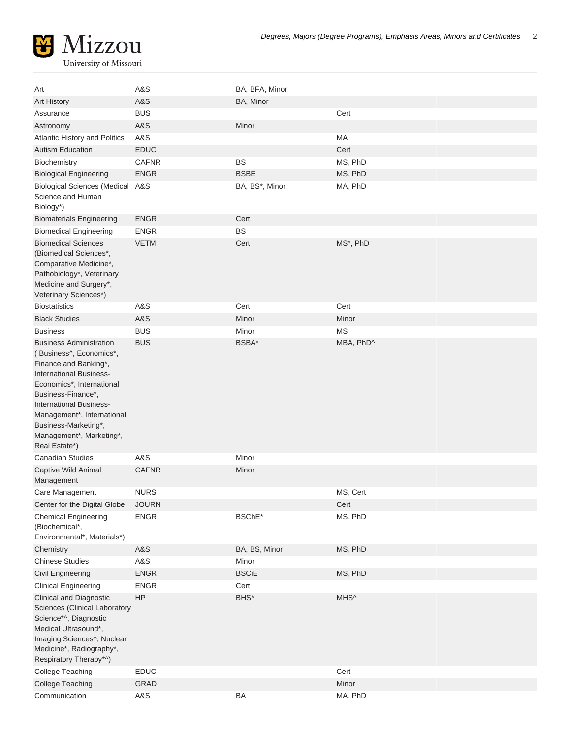

| Art                                                                                                                                                                                                                                                                                                   | A&S          | BA, BFA, Minor                     |           |
|-------------------------------------------------------------------------------------------------------------------------------------------------------------------------------------------------------------------------------------------------------------------------------------------------------|--------------|------------------------------------|-----------|
| <b>Art History</b>                                                                                                                                                                                                                                                                                    | A&S          | BA, Minor                          |           |
| Assurance                                                                                                                                                                                                                                                                                             | <b>BUS</b>   |                                    | Cert      |
| Astronomy                                                                                                                                                                                                                                                                                             | A&S          | Minor                              |           |
| <b>Atlantic History and Politics</b>                                                                                                                                                                                                                                                                  | A&S          |                                    | MA        |
| <b>Autism Education</b>                                                                                                                                                                                                                                                                               | <b>EDUC</b>  |                                    | Cert      |
| Biochemistry                                                                                                                                                                                                                                                                                          | <b>CAFNR</b> | <b>BS</b>                          | MS, PhD   |
| <b>Biological Engineering</b>                                                                                                                                                                                                                                                                         | <b>ENGR</b>  | <b>BSBE</b>                        | MS, PhD   |
| <b>Biological Sciences (Medical A&amp;S</b><br>Science and Human<br>Biology*)                                                                                                                                                                                                                         |              | BA, BS*, Minor                     | MA, PhD   |
| <b>Biomaterials Engineering</b>                                                                                                                                                                                                                                                                       | <b>ENGR</b>  | Cert                               |           |
| <b>Biomedical Engineering</b>                                                                                                                                                                                                                                                                         | <b>ENGR</b>  | <b>BS</b>                          |           |
| <b>Biomedical Sciences</b><br>(Biomedical Sciences*,<br>Comparative Medicine*,<br>Pathobiology*, Veterinary<br>Medicine and Surgery*,<br>Veterinary Sciences*)                                                                                                                                        | <b>VETM</b>  | Cert                               | MS*, PhD  |
| <b>Biostatistics</b>                                                                                                                                                                                                                                                                                  | A&S          | Cert                               | Cert      |
| <b>Black Studies</b>                                                                                                                                                                                                                                                                                  | A&S          | Minor                              | Minor     |
| <b>Business</b>                                                                                                                                                                                                                                                                                       | <b>BUS</b>   | Minor                              | MS        |
| <b>Business Administration</b><br>(Business^, Economics*,<br>Finance and Banking*,<br><b>International Business-</b><br>Economics*, International<br>Business-Finance*,<br>International Business-<br>Management*, International<br>Business-Marketing*,<br>Management*, Marketing*,<br>Real Estate*) | <b>BUS</b>   | BSBA*                              | MBA, PhD^ |
| <b>Canadian Studies</b>                                                                                                                                                                                                                                                                               | A&S          | Minor                              |           |
| Captive Wild Animal<br>Management                                                                                                                                                                                                                                                                     | <b>CAFNR</b> | Minor                              |           |
| Care Management                                                                                                                                                                                                                                                                                       | <b>NURS</b>  |                                    | MS, Cert  |
| Center for the Digital Globe                                                                                                                                                                                                                                                                          | <b>JOURN</b> |                                    | Cert      |
| <b>Chemical Engineering</b><br>(Biochemical*,<br>Environmental*, Materials*)                                                                                                                                                                                                                          | <b>ENGR</b>  | BSChE*                             | MS, PhD   |
| Chemistry                                                                                                                                                                                                                                                                                             | A&S          | BA, BS, Minor                      | MS, PhD   |
| <b>Chinese Studies</b>                                                                                                                                                                                                                                                                                | A&S          | Minor                              |           |
| <b>Civil Engineering</b>                                                                                                                                                                                                                                                                              | <b>ENGR</b>  | <b>BSCiE</b>                       | MS, PhD   |
| <b>Clinical Engineering</b>                                                                                                                                                                                                                                                                           | <b>ENGR</b>  | Cert                               |           |
| <b>Clinical and Diagnostic</b><br>Sciences (Clinical Laboratory<br>Science*^, Diagnostic<br>Medical Ultrasound*,<br>Imaging Sciences^, Nuclear<br>Medicine*, Radiography*,<br>Respiratory Therapy*^)                                                                                                  | HP           | $\mathsf{B}\mathsf{H}\mathsf{S}^*$ | MHS^      |
| <b>College Teaching</b>                                                                                                                                                                                                                                                                               | <b>EDUC</b>  |                                    | Cert      |
| <b>College Teaching</b>                                                                                                                                                                                                                                                                               | GRAD         |                                    | Minor     |
| Communication                                                                                                                                                                                                                                                                                         | A&S          | BA                                 | MA, PhD   |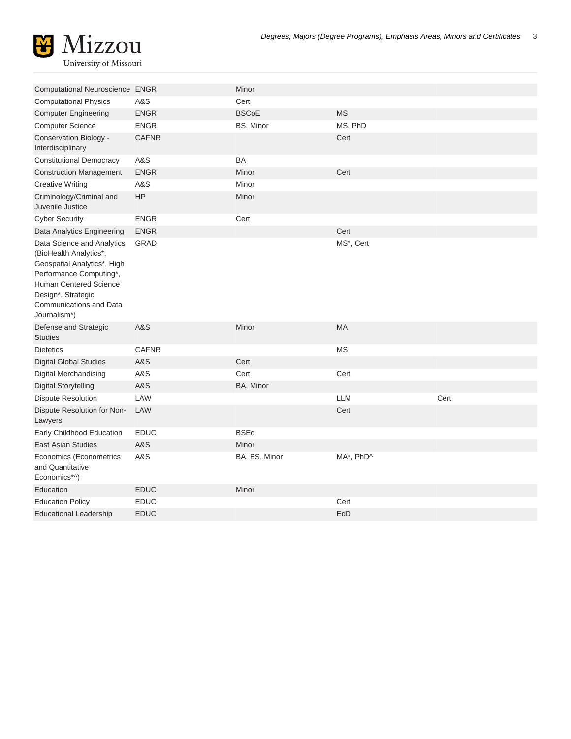

| Computational Neuroscience ENGR                                                                                                                                                                           |                | Minor         |            |      |
|-----------------------------------------------------------------------------------------------------------------------------------------------------------------------------------------------------------|----------------|---------------|------------|------|
| <b>Computational Physics</b>                                                                                                                                                                              | A&S            | Cert          |            |      |
| <b>Computer Engineering</b>                                                                                                                                                                               | <b>ENGR</b>    | <b>BSCoE</b>  | <b>MS</b>  |      |
| <b>Computer Science</b>                                                                                                                                                                                   | <b>ENGR</b>    | BS, Minor     | MS, PhD    |      |
| Conservation Biology -<br>Interdisciplinary                                                                                                                                                               | <b>CAFNR</b>   |               | Cert       |      |
| <b>Constitutional Democracy</b>                                                                                                                                                                           | A&S            | BA            |            |      |
| <b>Construction Management</b>                                                                                                                                                                            | <b>ENGR</b>    | Minor         | Cert       |      |
| <b>Creative Writing</b>                                                                                                                                                                                   | A&S            | Minor         |            |      |
| Criminology/Criminal and<br>Juvenile Justice                                                                                                                                                              | <b>HP</b>      | Minor         |            |      |
| <b>Cyber Security</b>                                                                                                                                                                                     | <b>ENGR</b>    | Cert          |            |      |
| Data Analytics Engineering                                                                                                                                                                                | <b>ENGR</b>    |               | Cert       |      |
| Data Science and Analytics<br>(BioHealth Analytics*,<br>Geospatial Analytics*, High<br>Performance Computing*,<br>Human Centered Science<br>Design*, Strategic<br>Communications and Data<br>Journalism*) | <b>GRAD</b>    |               | MS*, Cert  |      |
| Defense and Strategic<br><b>Studies</b>                                                                                                                                                                   | <b>A&amp;S</b> | Minor         | <b>MA</b>  |      |
| <b>Dietetics</b>                                                                                                                                                                                          | <b>CAFNR</b>   |               | MS         |      |
| <b>Digital Global Studies</b>                                                                                                                                                                             | <b>A&amp;S</b> | Cert          |            |      |
| Digital Merchandising                                                                                                                                                                                     | A&S            | Cert          | Cert       |      |
| <b>Digital Storytelling</b>                                                                                                                                                                               | <b>A&amp;S</b> | BA, Minor     |            |      |
| <b>Dispute Resolution</b>                                                                                                                                                                                 | LAW            |               | <b>LLM</b> | Cert |
| Dispute Resolution for Non-<br>Lawyers                                                                                                                                                                    | LAW            |               | Cert       |      |
| Early Childhood Education                                                                                                                                                                                 | EDUC           | <b>BSEd</b>   |            |      |
| <b>East Asian Studies</b>                                                                                                                                                                                 | <b>A&amp;S</b> | Minor         |            |      |
| Economics (Econometrics<br>and Quantitative<br>Economics*^)                                                                                                                                               | A&S            | BA, BS, Minor | MA*, PhD^  |      |
| Education                                                                                                                                                                                                 | <b>EDUC</b>    | Minor         |            |      |
| <b>Education Policy</b>                                                                                                                                                                                   | <b>EDUC</b>    |               | Cert       |      |
| <b>Educational Leadership</b>                                                                                                                                                                             | <b>EDUC</b>    |               | EdD        |      |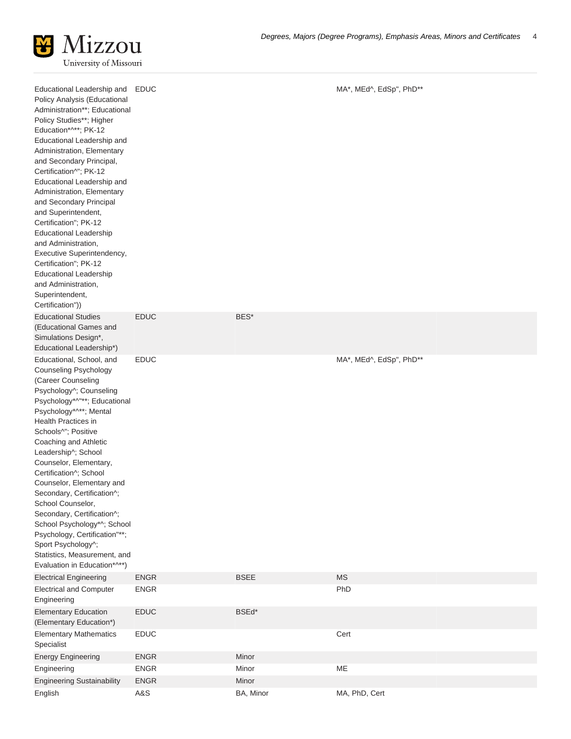| Educational Leadership and<br>Policy Analysis (Educational<br>Administration**; Educational<br>Policy Studies**; Higher<br>Education*^**; PK-12<br>Educational Leadership and<br>Administration, Elementary<br>and Secondary Principal,<br>Certification^"; PK-12<br>Educational Leadership and<br>Administration, Elementary<br>and Secondary Principal<br>and Superintendent,<br>Certification"; PK-12<br><b>Educational Leadership</b><br>and Administration,<br>Executive Superintendency,<br>Certification"; PK-12<br><b>Educational Leadership</b><br>and Administration,<br>Superintendent,<br>Certification")) | EDUC        |             | MA*, MEd^, EdSp", PhD** |
|------------------------------------------------------------------------------------------------------------------------------------------------------------------------------------------------------------------------------------------------------------------------------------------------------------------------------------------------------------------------------------------------------------------------------------------------------------------------------------------------------------------------------------------------------------------------------------------------------------------------|-------------|-------------|-------------------------|
| <b>Educational Studies</b><br>(Educational Games and<br>Simulations Design*,<br>Educational Leadership*)                                                                                                                                                                                                                                                                                                                                                                                                                                                                                                               | <b>EDUC</b> | BES*        |                         |
| Educational, School, and<br>Counseling Psychology<br>(Career Counseling<br>Psychology^; Counseling<br>Psychology*^"**; Educational<br>Psychology*^**; Mental<br><b>Health Practices in</b><br>Schools^"; Positive<br>Coaching and Athletic<br>Leadership^; School<br>Counselor, Elementary,<br>Certification^; School<br>Counselor, Elementary and<br>Secondary, Certification^;<br>School Counselor,<br>Secondary, Certification^;<br>School Psychology*^; School<br>Psychology, Certification"**;<br>Sport Psychology^;<br>Statistics, Measurement, and<br>Evaluation in Education*^**)                              | <b>EDUC</b> |             | MA*, MEd^, EdSp", PhD** |
| <b>Electrical Engineering</b>                                                                                                                                                                                                                                                                                                                                                                                                                                                                                                                                                                                          | <b>ENGR</b> | <b>BSEE</b> | <b>MS</b>               |
| <b>Electrical and Computer</b><br>Engineering                                                                                                                                                                                                                                                                                                                                                                                                                                                                                                                                                                          | <b>ENGR</b> |             | PhD                     |
| <b>Elementary Education</b><br>(Elementary Education*)                                                                                                                                                                                                                                                                                                                                                                                                                                                                                                                                                                 | <b>EDUC</b> | BSEd*       |                         |
| <b>Elementary Mathematics</b><br>Specialist                                                                                                                                                                                                                                                                                                                                                                                                                                                                                                                                                                            | <b>EDUC</b> |             | Cert                    |
| <b>Energy Engineering</b>                                                                                                                                                                                                                                                                                                                                                                                                                                                                                                                                                                                              | <b>ENGR</b> | Minor       |                         |
| Engineering                                                                                                                                                                                                                                                                                                                                                                                                                                                                                                                                                                                                            | <b>ENGR</b> | Minor       | ME                      |
| <b>Engineering Sustainability</b>                                                                                                                                                                                                                                                                                                                                                                                                                                                                                                                                                                                      | <b>ENGR</b> | Minor       |                         |
| English                                                                                                                                                                                                                                                                                                                                                                                                                                                                                                                                                                                                                | A&S         | BA, Minor   | MA, PhD, Cert           |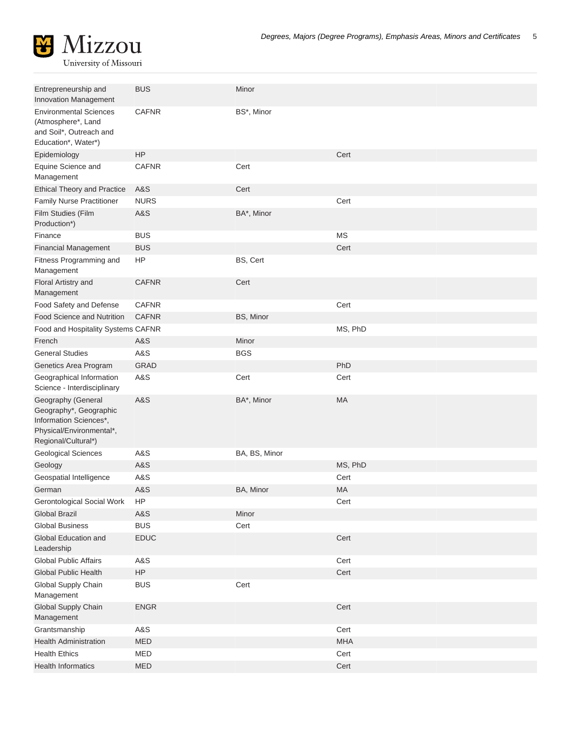

University of Missouri

| Entrepreneurship and<br>Innovation Management                                                                             | <b>BUS</b>     | Minor         |            |
|---------------------------------------------------------------------------------------------------------------------------|----------------|---------------|------------|
| <b>Environmental Sciences</b><br>(Atmosphere*, Land<br>and Soil*, Outreach and<br>Education*, Water*)                     | <b>CAFNR</b>   | BS*, Minor    |            |
| Epidemiology                                                                                                              | HP             |               | Cert       |
| Equine Science and<br>Management                                                                                          | <b>CAFNR</b>   | Cert          |            |
| <b>Ethical Theory and Practice</b>                                                                                        | A&S            | Cert          |            |
| <b>Family Nurse Practitioner</b>                                                                                          | <b>NURS</b>    |               | Cert       |
| Film Studies (Film<br>Production*)                                                                                        | A&S            | BA*, Minor    |            |
| Finance                                                                                                                   | <b>BUS</b>     |               | <b>MS</b>  |
| <b>Financial Management</b>                                                                                               | <b>BUS</b>     |               | Cert       |
| Fitness Programming and<br>Management                                                                                     | HP             | BS, Cert      |            |
| Floral Artistry and<br>Management                                                                                         | <b>CAFNR</b>   | Cert          |            |
| Food Safety and Defense                                                                                                   | <b>CAFNR</b>   |               | Cert       |
| <b>Food Science and Nutrition</b>                                                                                         | <b>CAFNR</b>   | BS, Minor     |            |
| Food and Hospitality Systems CAFNR                                                                                        |                |               | MS, PhD    |
| French                                                                                                                    | A&S            | Minor         |            |
| <b>General Studies</b>                                                                                                    | <b>A&amp;S</b> | <b>BGS</b>    |            |
| Genetics Area Program                                                                                                     | <b>GRAD</b>    |               | PhD        |
| Geographical Information<br>Science - Interdisciplinary                                                                   | A&S            | Cert          | Cert       |
| Geography (General<br>Geography*, Geographic<br>Information Sciences*,<br>Physical/Environmental*,<br>Regional/Cultural*) | A&S            | BA*, Minor    | MA         |
| <b>Geological Sciences</b>                                                                                                | A&S            | BA, BS, Minor |            |
| Geology                                                                                                                   | A&S            |               | MS, PhD    |
| Geospatial Intelligence                                                                                                   | A&S            |               | Cert       |
| German                                                                                                                    | A&S            | BA, Minor     | <b>MA</b>  |
| Gerontological Social Work                                                                                                | HP             |               | Cert       |
| <b>Global Brazil</b>                                                                                                      | A&S            | Minor         |            |
| <b>Global Business</b>                                                                                                    | <b>BUS</b>     | Cert          |            |
| Global Education and<br>Leadership                                                                                        | EDUC           |               | Cert       |
| <b>Global Public Affairs</b>                                                                                              | A&S            |               | Cert       |
| Global Public Health                                                                                                      | ${\sf HP}$     |               | Cert       |
| Global Supply Chain<br>Management                                                                                         | <b>BUS</b>     | Cert          |            |
| Global Supply Chain<br>Management                                                                                         | <b>ENGR</b>    |               | Cert       |
| Grantsmanship                                                                                                             | A&S            |               | Cert       |
| <b>Health Administration</b>                                                                                              | MED            |               | <b>MHA</b> |
| <b>Health Ethics</b>                                                                                                      | MED            |               | Cert       |
| <b>Health Informatics</b>                                                                                                 | MED            |               | Cert       |
|                                                                                                                           |                |               |            |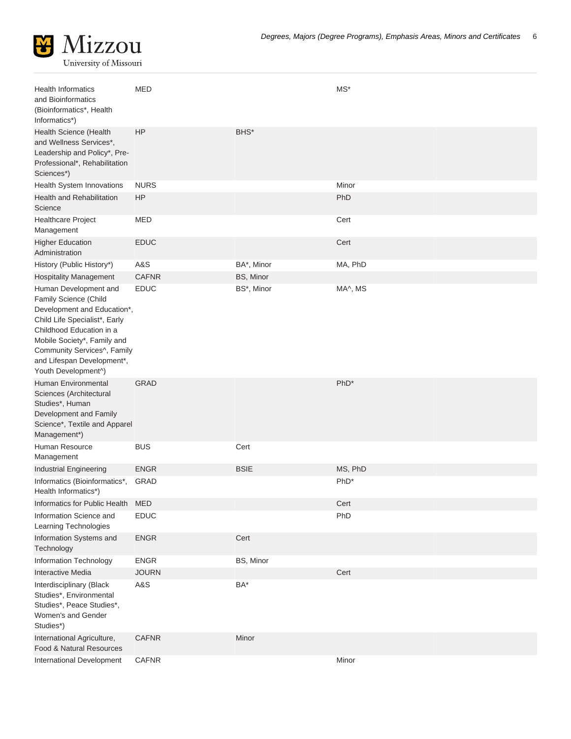

| <b>Health Informatics</b><br>and Bioinformatics<br>(Bioinformatics*, Health<br>Informatics*)                                                                                                                                                                  | MED          |             | $MS^*$           |
|---------------------------------------------------------------------------------------------------------------------------------------------------------------------------------------------------------------------------------------------------------------|--------------|-------------|------------------|
| Health Science (Health<br>and Wellness Services*,<br>Leadership and Policy*, Pre-<br>Professional*, Rehabilitation<br>Sciences*)                                                                                                                              | HP           | BHS*        |                  |
| Health System Innovations                                                                                                                                                                                                                                     | <b>NURS</b>  |             | Minor            |
| <b>Health and Rehabilitation</b><br>Science                                                                                                                                                                                                                   | <b>HP</b>    |             | PhD              |
| Healthcare Project<br>Management                                                                                                                                                                                                                              | <b>MED</b>   |             | Cert             |
| <b>Higher Education</b><br>Administration                                                                                                                                                                                                                     | <b>EDUC</b>  |             | Cert             |
| History (Public History*)                                                                                                                                                                                                                                     | A&S          | BA*, Minor  | MA, PhD          |
| <b>Hospitality Management</b>                                                                                                                                                                                                                                 | <b>CAFNR</b> | BS, Minor   |                  |
| Human Development and<br>Family Science (Child<br>Development and Education*,<br>Child Life Specialist*, Early<br>Childhood Education in a<br>Mobile Society*, Family and<br>Community Services^, Family<br>and Lifespan Development*,<br>Youth Development^) | <b>EDUC</b>  | BS*, Minor  | MA^, MS          |
| <b>Human Environmental</b><br>Sciences (Architectural<br>Studies*, Human<br>Development and Family<br>Science*, Textile and Apparel<br>Management*)                                                                                                           | <b>GRAD</b>  |             | PhD <sup>*</sup> |
| Human Resource<br>Management                                                                                                                                                                                                                                  | <b>BUS</b>   | Cert        |                  |
| Industrial Engineering                                                                                                                                                                                                                                        | <b>ENGR</b>  | <b>BSIE</b> | MS, PhD          |
| Informatics (Bioinformatics*,<br>Health Informatics*)                                                                                                                                                                                                         | <b>GRAD</b>  |             | PhD <sup>*</sup> |
| Informatics for Public Health                                                                                                                                                                                                                                 | <b>MED</b>   |             | Cert             |
| Information Science and                                                                                                                                                                                                                                       | <b>EDUC</b>  |             | PhD              |
| Learning Technologies                                                                                                                                                                                                                                         |              |             |                  |
| Information Systems and<br>Technology                                                                                                                                                                                                                         | <b>ENGR</b>  | Cert        |                  |
| Information Technology                                                                                                                                                                                                                                        | ENGR         | BS, Minor   |                  |
| <b>Interactive Media</b>                                                                                                                                                                                                                                      | <b>JOURN</b> |             | Cert             |
| Interdisciplinary (Black<br>Studies*, Environmental<br>Studies*, Peace Studies*,<br>Women's and Gender<br>Studies*)                                                                                                                                           | A&S          | BA*         |                  |
| International Agriculture,<br>Food & Natural Resources                                                                                                                                                                                                        | <b>CAFNR</b> | Minor       |                  |
| International Development                                                                                                                                                                                                                                     | <b>CAFNR</b> |             | Minor            |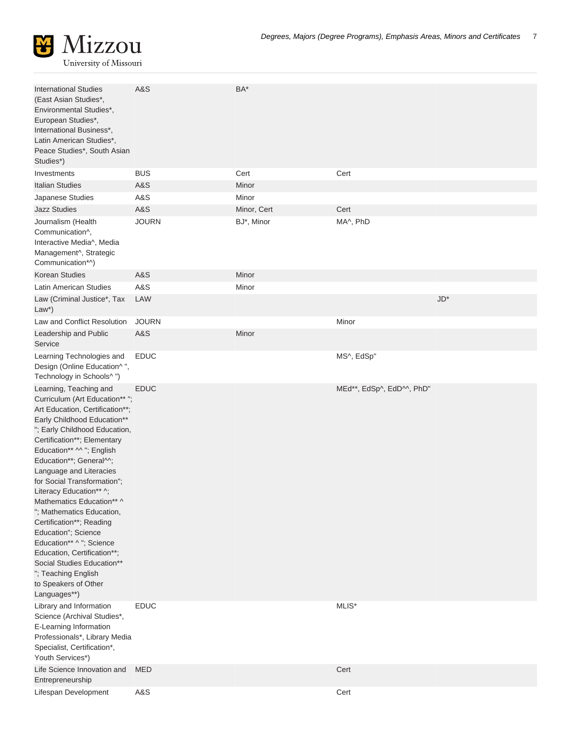

| <b>International Studies</b><br>(East Asian Studies*,<br>Environmental Studies*,<br>European Studies*,<br>International Business*,<br>Latin American Studies*,<br>Peace Studies*, South Asian<br>Studies*)                                                                                                                                                                                                                                                                                                                                                                                                   | A&S          | BA*         |                           |              |
|--------------------------------------------------------------------------------------------------------------------------------------------------------------------------------------------------------------------------------------------------------------------------------------------------------------------------------------------------------------------------------------------------------------------------------------------------------------------------------------------------------------------------------------------------------------------------------------------------------------|--------------|-------------|---------------------------|--------------|
| Investments                                                                                                                                                                                                                                                                                                                                                                                                                                                                                                                                                                                                  | <b>BUS</b>   | Cert        | Cert                      |              |
| <b>Italian Studies</b>                                                                                                                                                                                                                                                                                                                                                                                                                                                                                                                                                                                       | A&S          | Minor       |                           |              |
| Japanese Studies                                                                                                                                                                                                                                                                                                                                                                                                                                                                                                                                                                                             | A&S          | Minor       |                           |              |
| <b>Jazz Studies</b>                                                                                                                                                                                                                                                                                                                                                                                                                                                                                                                                                                                          | A&S          | Minor, Cert | Cert                      |              |
| Journalism (Health<br>Communication^,<br>Interactive Media^, Media<br>Management^, Strategic<br>Communication*^)                                                                                                                                                                                                                                                                                                                                                                                                                                                                                             | <b>JOURN</b> | BJ*, Minor  | MA^, PhD                  |              |
| Korean Studies                                                                                                                                                                                                                                                                                                                                                                                                                                                                                                                                                                                               | A&S          | Minor       |                           |              |
| Latin American Studies                                                                                                                                                                                                                                                                                                                                                                                                                                                                                                                                                                                       | A&S          | Minor       |                           |              |
| Law (Criminal Justice*, Tax<br>$Law*$                                                                                                                                                                                                                                                                                                                                                                                                                                                                                                                                                                        | LAW          |             |                           | $JD^{\star}$ |
| Law and Conflict Resolution                                                                                                                                                                                                                                                                                                                                                                                                                                                                                                                                                                                  | <b>JOURN</b> |             | Minor                     |              |
| Leadership and Public<br>Service                                                                                                                                                                                                                                                                                                                                                                                                                                                                                                                                                                             | A&S          | Minor       |                           |              |
| Learning Technologies and<br>Design (Online Education^",<br>Technology in Schools^")                                                                                                                                                                                                                                                                                                                                                                                                                                                                                                                         | <b>EDUC</b>  |             | MS^, EdSp"                |              |
| Learning, Teaching and<br>Curriculum (Art Education** ";<br>Art Education, Certification**;<br>Early Childhood Education**<br>"; Early Childhood Education,<br>Certification**; Elementary<br>Education** ^^ "; English<br>Education**; General^^;<br>Language and Literacies<br>for Social Transformation";<br>Literacy Education** ^;<br>Mathematics Education** ^<br>"; Mathematics Education,<br>Certification**; Reading<br>Education"; Science<br>Education** ^ "; Science<br>Education, Certification**;<br>Social Studies Education**<br>"; Teaching English<br>to Speakers of Other<br>Languages**) | <b>EDUC</b>  |             | MEd**, EdSp^, EdD^^, PhD" |              |
| Library and Information<br>Science (Archival Studies*,<br>E-Learning Information<br>Professionals*, Library Media<br>Specialist, Certification*,<br>Youth Services*)                                                                                                                                                                                                                                                                                                                                                                                                                                         | <b>EDUC</b>  |             | MLIS*                     |              |
| Life Science Innovation and<br>Entrepreneurship                                                                                                                                                                                                                                                                                                                                                                                                                                                                                                                                                              | <b>MED</b>   |             | Cert                      |              |
| Lifespan Development                                                                                                                                                                                                                                                                                                                                                                                                                                                                                                                                                                                         | A&S          |             | Cert                      |              |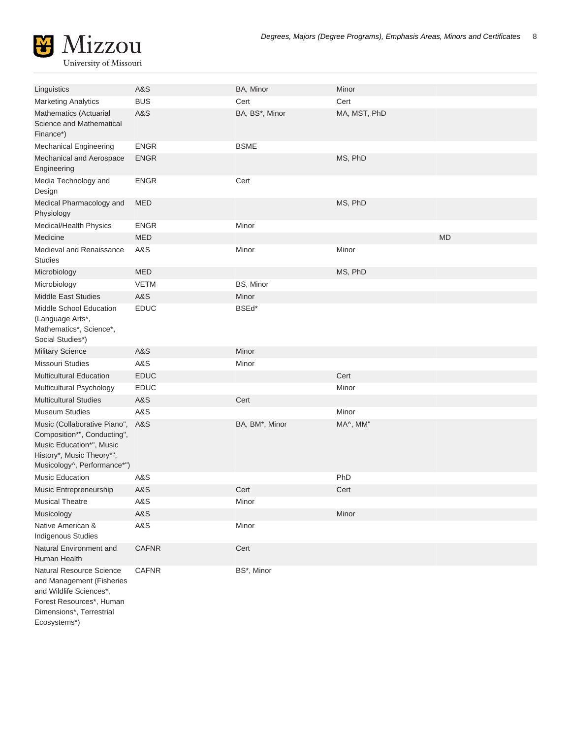

| Linguistics                                                                                                                                         | A&S            | BA, Minor      | Minor        |           |
|-----------------------------------------------------------------------------------------------------------------------------------------------------|----------------|----------------|--------------|-----------|
| <b>Marketing Analytics</b>                                                                                                                          | <b>BUS</b>     | Cert           | Cert         |           |
| Mathematics (Actuarial<br>Science and Mathematical<br>Finance*)                                                                                     | A&S            | BA, BS*, Minor | MA, MST, PhD |           |
| <b>Mechanical Engineering</b>                                                                                                                       | <b>ENGR</b>    | <b>BSME</b>    |              |           |
| Mechanical and Aerospace<br>Engineering                                                                                                             | <b>ENGR</b>    |                | MS, PhD      |           |
| Media Technology and<br>Design                                                                                                                      | <b>ENGR</b>    | Cert           |              |           |
| Medical Pharmacology and<br>Physiology                                                                                                              | <b>MED</b>     |                | MS, PhD      |           |
| Medical/Health Physics                                                                                                                              | <b>ENGR</b>    | Minor          |              |           |
| Medicine                                                                                                                                            | <b>MED</b>     |                |              | <b>MD</b> |
| Medieval and Renaissance<br><b>Studies</b>                                                                                                          | A&S            | Minor          | Minor        |           |
| Microbiology                                                                                                                                        | <b>MED</b>     |                | MS, PhD      |           |
| Microbiology                                                                                                                                        | <b>VETM</b>    | BS, Minor      |              |           |
| <b>Middle East Studies</b>                                                                                                                          | A&S            | Minor          |              |           |
| Middle School Education<br>(Language Arts*,<br>Mathematics*, Science*,<br>Social Studies*)                                                          | <b>EDUC</b>    | BSEd*          |              |           |
| <b>Military Science</b>                                                                                                                             | A&S            | Minor          |              |           |
| Missouri Studies                                                                                                                                    | A&S            | Minor          |              |           |
| <b>Multicultural Education</b>                                                                                                                      | <b>EDUC</b>    |                | Cert         |           |
| Multicultural Psychology                                                                                                                            | <b>EDUC</b>    |                | Minor        |           |
| <b>Multicultural Studies</b>                                                                                                                        | A&S            | Cert           |              |           |
| <b>Museum Studies</b>                                                                                                                               | <b>A&amp;S</b> |                | Minor        |           |
| Music (Collaborative Piano",<br>Composition*", Conducting",<br>Music Education*", Music<br>History*, Music Theory*",<br>Musicology^, Performance*") | A&S            | BA, BM*, Minor | MA^, MM"     |           |
| <b>Music Education</b>                                                                                                                              | A&S            |                | PhD          |           |
| Music Entrepreneurship                                                                                                                              | A&S            | Cert           | Cert         |           |
| <b>Musical Theatre</b>                                                                                                                              | A&S            | Minor          |              |           |
| Musicology                                                                                                                                          | A&S            |                | Minor        |           |
| Native American &<br><b>Indigenous Studies</b>                                                                                                      | A&S            | Minor          |              |           |
| Natural Environment and<br>Human Health                                                                                                             | <b>CAFNR</b>   | Cert           |              |           |
| <b>Natural Resource Science</b><br>and Management (Fisheries<br>and Wildlife Sciences*,<br>Forest Resources*, Human<br>Dimensions*, Terrestrial     | <b>CAFNR</b>   | BS*, Minor     |              |           |
| Ecosystems*)                                                                                                                                        |                |                |              |           |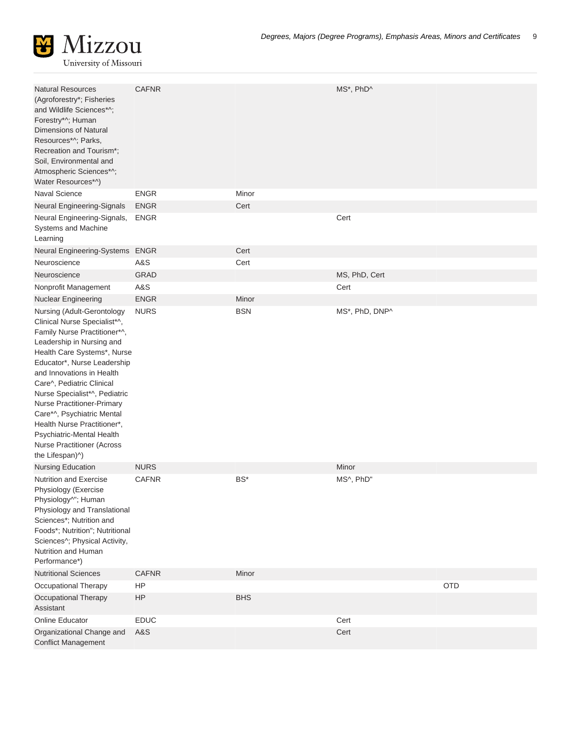

| <b>Natural Resources</b><br>(Agroforestry*; Fisheries<br>and Wildlife Sciences*^;<br>Forestry*^; Human<br>Dimensions of Natural<br>Resources*^; Parks,<br>Recreation and Tourism*;<br>Soil, Environmental and<br>Atmospheric Sciences*^;<br>Water Resources*^)                                                                                                                                                                                                   | <b>CAFNR</b> |            | MS*, PhD^      |            |
|------------------------------------------------------------------------------------------------------------------------------------------------------------------------------------------------------------------------------------------------------------------------------------------------------------------------------------------------------------------------------------------------------------------------------------------------------------------|--------------|------------|----------------|------------|
| Naval Science                                                                                                                                                                                                                                                                                                                                                                                                                                                    | <b>ENGR</b>  | Minor      |                |            |
| Neural Engineering-Signals                                                                                                                                                                                                                                                                                                                                                                                                                                       | <b>ENGR</b>  | Cert       |                |            |
| Neural Engineering-Signals,<br>Systems and Machine<br>Learning                                                                                                                                                                                                                                                                                                                                                                                                   | <b>ENGR</b>  |            | Cert           |            |
| Neural Engineering-Systems ENGR                                                                                                                                                                                                                                                                                                                                                                                                                                  |              | Cert       |                |            |
| Neuroscience                                                                                                                                                                                                                                                                                                                                                                                                                                                     | A&S          | Cert       |                |            |
| Neuroscience                                                                                                                                                                                                                                                                                                                                                                                                                                                     | <b>GRAD</b>  |            | MS, PhD, Cert  |            |
| Nonprofit Management                                                                                                                                                                                                                                                                                                                                                                                                                                             | A&S          |            | Cert           |            |
| <b>Nuclear Engineering</b>                                                                                                                                                                                                                                                                                                                                                                                                                                       | <b>ENGR</b>  | Minor      |                |            |
| Nursing (Adult-Gerontology<br>Clinical Nurse Specialist*^,<br>Family Nurse Practitioner*^,<br>Leadership in Nursing and<br>Health Care Systems*, Nurse<br>Educator*, Nurse Leadership<br>and Innovations in Health<br>Care^, Pediatric Clinical<br>Nurse Specialist*^, Pediatric<br>Nurse Practitioner-Primary<br>Care*^, Psychiatric Mental<br>Health Nurse Practitioner*,<br>Psychiatric-Mental Health<br><b>Nurse Practitioner (Across</b><br>the Lifespan)^) | <b>NURS</b>  | <b>BSN</b> | MS*, PhD, DNP^ |            |
| <b>Nursing Education</b>                                                                                                                                                                                                                                                                                                                                                                                                                                         | <b>NURS</b>  |            | Minor          |            |
| Nutrition and Exercise<br>Physiology (Exercise<br>Physiology^"; Human<br>Physiology and Translational<br>Sciences*; Nutrition and<br>Foods*; Nutrition"; Nutritional<br>Sciences^; Physical Activity,<br>Nutrition and Human<br>Performance*)                                                                                                                                                                                                                    | <b>CAFNR</b> | $BS^*$     | MS^, PhD"      |            |
| <b>Nutritional Sciences</b>                                                                                                                                                                                                                                                                                                                                                                                                                                      | <b>CAFNR</b> | Minor      |                |            |
| Occupational Therapy                                                                                                                                                                                                                                                                                                                                                                                                                                             | <b>HP</b>    |            |                | <b>OTD</b> |
| Occupational Therapy<br>Assistant                                                                                                                                                                                                                                                                                                                                                                                                                                | HP           | <b>BHS</b> |                |            |
| Online Educator                                                                                                                                                                                                                                                                                                                                                                                                                                                  | <b>EDUC</b>  |            | Cert           |            |
| Organizational Change and<br><b>Conflict Management</b>                                                                                                                                                                                                                                                                                                                                                                                                          | A&S          |            | Cert           |            |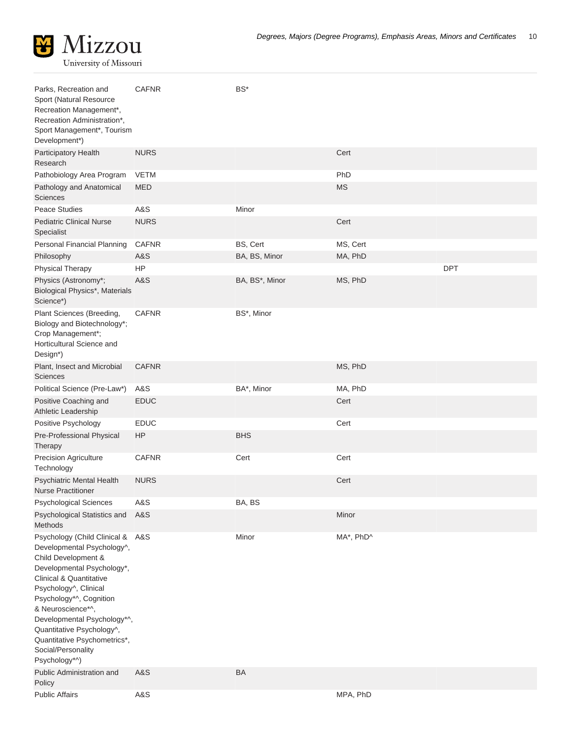

| Parks, Recreation and                                                                                                                                                                                                                                                                                                                                                 | <b>CAFNR</b>   | BS*            |           |            |
|-----------------------------------------------------------------------------------------------------------------------------------------------------------------------------------------------------------------------------------------------------------------------------------------------------------------------------------------------------------------------|----------------|----------------|-----------|------------|
| Sport (Natural Resource<br>Recreation Management*,<br>Recreation Administration*,<br>Sport Management*, Tourism                                                                                                                                                                                                                                                       |                |                |           |            |
| Development*)                                                                                                                                                                                                                                                                                                                                                         |                |                |           |            |
| Participatory Health<br>Research                                                                                                                                                                                                                                                                                                                                      | <b>NURS</b>    |                | Cert      |            |
| Pathobiology Area Program                                                                                                                                                                                                                                                                                                                                             | <b>VETM</b>    |                | PhD       |            |
| Pathology and Anatomical<br><b>Sciences</b>                                                                                                                                                                                                                                                                                                                           | <b>MED</b>     |                | <b>MS</b> |            |
| Peace Studies                                                                                                                                                                                                                                                                                                                                                         | <b>A&amp;S</b> | Minor          |           |            |
| <b>Pediatric Clinical Nurse</b><br>Specialist                                                                                                                                                                                                                                                                                                                         | <b>NURS</b>    |                | Cert      |            |
| Personal Financial Planning                                                                                                                                                                                                                                                                                                                                           | <b>CAFNR</b>   | BS, Cert       | MS, Cert  |            |
| Philosophy                                                                                                                                                                                                                                                                                                                                                            | A&S            | BA, BS, Minor  | MA, PhD   |            |
| Physical Therapy                                                                                                                                                                                                                                                                                                                                                      | HP             |                |           | <b>DPT</b> |
| Physics (Astronomy*;<br>Biological Physics*, Materials<br>Science*)                                                                                                                                                                                                                                                                                                   | A&S            | BA, BS*, Minor | MS, PhD   |            |
| Plant Sciences (Breeding,<br>Biology and Biotechnology*;<br>Crop Management*;<br>Horticultural Science and<br>Design*)                                                                                                                                                                                                                                                | <b>CAFNR</b>   | BS*, Minor     |           |            |
| Plant, Insect and Microbial<br><b>Sciences</b>                                                                                                                                                                                                                                                                                                                        | <b>CAFNR</b>   |                | MS, PhD   |            |
| Political Science (Pre-Law*)                                                                                                                                                                                                                                                                                                                                          | A&S            | BA*, Minor     | MA, PhD   |            |
| Positive Coaching and<br>Athletic Leadership                                                                                                                                                                                                                                                                                                                          | <b>EDUC</b>    |                | Cert      |            |
| Positive Psychology                                                                                                                                                                                                                                                                                                                                                   | <b>EDUC</b>    |                | Cert      |            |
| Pre-Professional Physical<br>Therapy                                                                                                                                                                                                                                                                                                                                  | HP             | <b>BHS</b>     |           |            |
| Precision Agriculture<br>Technology                                                                                                                                                                                                                                                                                                                                   | <b>CAFNR</b>   | Cert           | Cert      |            |
| Psychiatric Mental Health<br><b>Nurse Practitioner</b>                                                                                                                                                                                                                                                                                                                | <b>NURS</b>    |                | Cert      |            |
| <b>Psychological Sciences</b>                                                                                                                                                                                                                                                                                                                                         | A&S            | BA, BS         |           |            |
| Psychological Statistics and<br>Methods                                                                                                                                                                                                                                                                                                                               | A&S            |                | Minor     |            |
| Psychology (Child Clinical & A&S<br>Developmental Psychology^,<br>Child Development &<br>Developmental Psychology*,<br><b>Clinical &amp; Quantitative</b><br>Psychology^, Clinical<br>Psychology*^, Cognition<br>& Neuroscience*^,<br>Developmental Psychology*^,<br>Quantitative Psychology^,<br>Quantitative Psychometrics*,<br>Social/Personality<br>Psychology*^) |                | Minor          | MA*, PhD^ |            |
| Public Administration and<br>Policy                                                                                                                                                                                                                                                                                                                                   | A&S            | <b>BA</b>      |           |            |
| <b>Public Affairs</b>                                                                                                                                                                                                                                                                                                                                                 | A&S            |                | MPA, PhD  |            |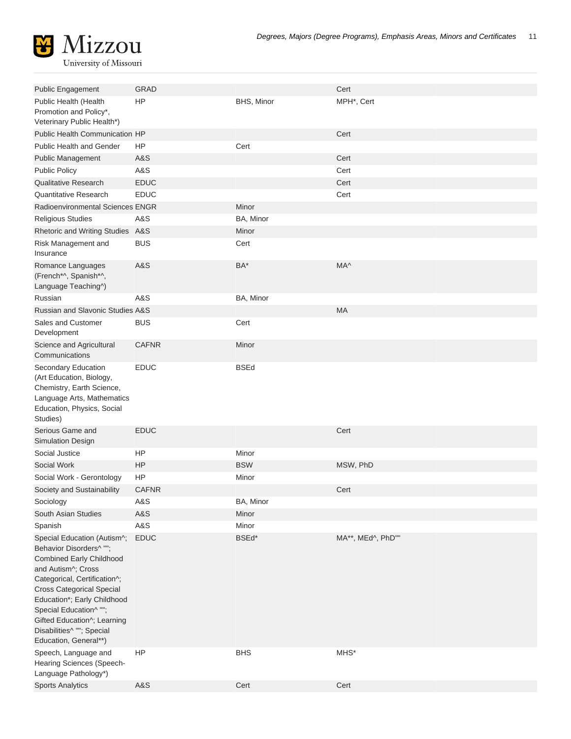| <b>Public Engagement</b>                                                                                                                                                                                                                                                                                                          | <b>GRAD</b>  |             | Cert              |
|-----------------------------------------------------------------------------------------------------------------------------------------------------------------------------------------------------------------------------------------------------------------------------------------------------------------------------------|--------------|-------------|-------------------|
| Public Health (Health<br>Promotion and Policy*,<br>Veterinary Public Health*)                                                                                                                                                                                                                                                     | <b>HP</b>    | BHS, Minor  | MPH*, Cert        |
| Public Health Communication HP                                                                                                                                                                                                                                                                                                    |              |             | Cert              |
| <b>Public Health and Gender</b>                                                                                                                                                                                                                                                                                                   | HP           | Cert        |                   |
| <b>Public Management</b>                                                                                                                                                                                                                                                                                                          | A&S          |             | Cert              |
| <b>Public Policy</b>                                                                                                                                                                                                                                                                                                              | A&S          |             | Cert              |
| <b>Qualitative Research</b>                                                                                                                                                                                                                                                                                                       | <b>EDUC</b>  |             | Cert              |
| <b>Quantitative Research</b>                                                                                                                                                                                                                                                                                                      | <b>EDUC</b>  |             | Cert              |
| Radioenvironmental Sciences ENGR                                                                                                                                                                                                                                                                                                  |              | Minor       |                   |
| <b>Religious Studies</b>                                                                                                                                                                                                                                                                                                          | A&S          | BA, Minor   |                   |
| Rhetoric and Writing Studies A&S                                                                                                                                                                                                                                                                                                  |              | Minor       |                   |
| Risk Management and<br>Insurance                                                                                                                                                                                                                                                                                                  | <b>BUS</b>   | Cert        |                   |
| Romance Languages<br>(French*^, Spanish*^,<br>Language Teaching^)                                                                                                                                                                                                                                                                 | A&S          | BA*         | MA^               |
| Russian                                                                                                                                                                                                                                                                                                                           | A&S          | BA, Minor   |                   |
| Russian and Slavonic Studies A&S                                                                                                                                                                                                                                                                                                  |              |             | <b>MA</b>         |
| Sales and Customer<br>Development                                                                                                                                                                                                                                                                                                 | <b>BUS</b>   | Cert        |                   |
| Science and Agricultural<br>Communications                                                                                                                                                                                                                                                                                        | <b>CAFNR</b> | Minor       |                   |
| Secondary Education<br>(Art Education, Biology,<br>Chemistry, Earth Science,<br>Language Arts, Mathematics<br>Education, Physics, Social<br>Studies)                                                                                                                                                                              | <b>EDUC</b>  | <b>BSEd</b> |                   |
| Serious Game and<br>Simulation Design                                                                                                                                                                                                                                                                                             | <b>EDUC</b>  |             | Cert              |
| Social Justice                                                                                                                                                                                                                                                                                                                    | HP.          | Minor       |                   |
| Social Work                                                                                                                                                                                                                                                                                                                       | HP           | <b>BSW</b>  | MSW, PhD          |
| Social Work - Gerontology                                                                                                                                                                                                                                                                                                         | HP           | Minor       |                   |
| Society and Sustainability                                                                                                                                                                                                                                                                                                        | <b>CAFNR</b> |             | Cert              |
| Sociology                                                                                                                                                                                                                                                                                                                         | A&S          | BA, Minor   |                   |
| South Asian Studies                                                                                                                                                                                                                                                                                                               | A&S          | Minor       |                   |
| Spanish                                                                                                                                                                                                                                                                                                                           | A&S          | Minor       |                   |
| Special Education (Autism^;<br>Behavior Disorders^ "";<br><b>Combined Early Childhood</b><br>and Autism^; Cross<br>Categorical, Certification^;<br><b>Cross Categorical Special</b><br>Education*; Early Childhood<br>Special Education^ "";<br>Gifted Education^; Learning<br>Disabilities^ ""; Special<br>Education, General**) | <b>EDUC</b>  | BSEd*       | MA**, MEd^, PhD"" |
| Speech, Language and<br>Hearing Sciences (Speech-                                                                                                                                                                                                                                                                                 | HP           | <b>BHS</b>  | MHS*              |

Language Pathology\*) Sports Analytics A&S [Cert](http://catalog.missouri.edu/collegeofartsandscience/additionalcertificatesminors/grad-cert-sports-analytics/) Cert Cert Cert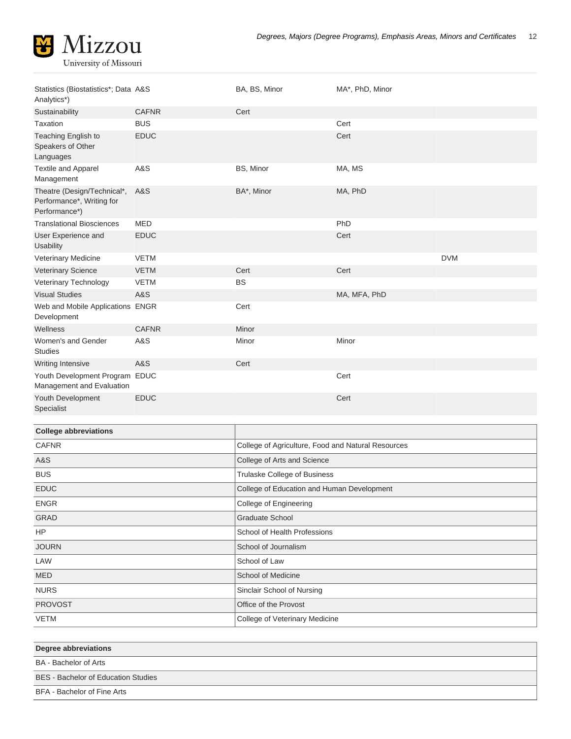

| Statistics (Biostatistics*; Data A&S<br>Analytics*)                       |                | BA, BS, Minor | MA*, PhD, Minor |            |
|---------------------------------------------------------------------------|----------------|---------------|-----------------|------------|
| Sustainability                                                            | <b>CAFNR</b>   | Cert          |                 |            |
| Taxation                                                                  | <b>BUS</b>     |               | Cert            |            |
| Teaching English to<br>Speakers of Other<br>Languages                     | <b>EDUC</b>    |               | Cert            |            |
| Textile and Apparel<br>Management                                         | A&S            | BS, Minor     | MA, MS          |            |
| Theatre (Design/Technical*,<br>Performance*, Writing for<br>Performance*) | <b>A&amp;S</b> | BA*, Minor    | MA, PhD         |            |
| <b>Translational Biosciences</b>                                          | <b>MED</b>     |               | PhD             |            |
| User Experience and<br><b>Usability</b>                                   | <b>EDUC</b>    |               | Cert            |            |
| <b>Veterinary Medicine</b>                                                | <b>VETM</b>    |               |                 | <b>DVM</b> |
| <b>Veterinary Science</b>                                                 | <b>VETM</b>    | Cert          | Cert            |            |
| Veterinary Technology                                                     | <b>VETM</b>    | <b>BS</b>     |                 |            |
| <b>Visual Studies</b>                                                     | A&S            |               | MA, MFA, PhD    |            |
| Web and Mobile Applications ENGR<br>Development                           |                | Cert          |                 |            |
| Wellness                                                                  | <b>CAFNR</b>   | Minor         |                 |            |
| Women's and Gender<br><b>Studies</b>                                      | A&S            | Minor         | Minor           |            |
| <b>Writing Intensive</b>                                                  | <b>A&amp;S</b> | Cert          |                 |            |
| Youth Development Program EDUC<br>Management and Evaluation               |                |               | Cert            |            |
| Youth Development<br>Specialist                                           | <b>EDUC</b>    |               | Cert            |            |

| <b>College abbreviations</b> |                                                    |
|------------------------------|----------------------------------------------------|
| <b>CAFNR</b>                 | College of Agriculture, Food and Natural Resources |
| A&S                          | College of Arts and Science                        |
| <b>BUS</b>                   | Trulaske College of Business                       |
| <b>EDUC</b>                  | College of Education and Human Development         |
| <b>ENGR</b>                  | College of Engineering                             |
| <b>GRAD</b>                  | <b>Graduate School</b>                             |
| HP                           | School of Health Professions                       |
| <b>JOURN</b>                 | School of Journalism                               |
| LAW                          | School of Law                                      |
| <b>MED</b>                   | School of Medicine                                 |
| <b>NURS</b>                  | Sinclair School of Nursing                         |
| <b>PROVOST</b>               | Office of the Provost                              |
| <b>VETM</b>                  | College of Veterinary Medicine                     |

| Degree abbreviations                       |
|--------------------------------------------|
| BA - Bachelor of Arts                      |
| <b>BES</b> - Bachelor of Education Studies |
| BFA - Bachelor of Fine Arts                |